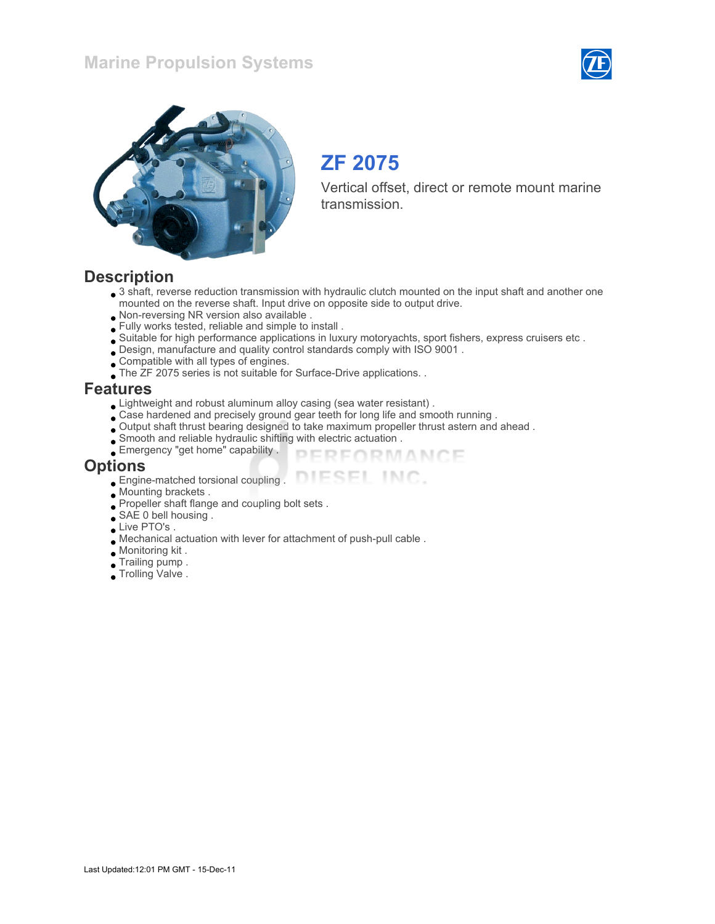



# ZF 2075

Vertical offset, direct or remote mount marine transmission.

### **Description**

• 3 shaft, reverse reduction transmission with hydraulic clutch mounted on the input shaft and another one mounted on the reverse shaft. Input drive on opposite side to output drive.

> PERFORMANCE ESEL INC.

- Non-reversing NR version also available .
- Fully works tested, reliable and simple to install .
- Suitable for high performance applications in luxury motoryachts, sport fishers, express cruisers etc .
- Design, manufacture and quality control standards comply with ISO 9001 .
- Compatible with all types of engines.
- The ZF 2075 series is not suitable for Surface-Drive applications. .

#### Features

- Lightweight and robust aluminum alloy casing (sea water resistant) .
- Case hardened and precisely ground gear teeth for long life and smooth running .
- Output shaft thrust bearing designed to take maximum propeller thrust astern and ahead .
- Smooth and reliable hydraulic shifting with electric actuation .
- Emergency "get home" capability .

#### **Options**

- Engine-matched torsional coupling .
- Mounting brackets .
- Propeller shaft flange and coupling bolt sets .
- SAE 0 bell housing .
- Live PTO's .
- Mechanical actuation with lever for attachment of push-pull cable .
- Monitoring kit .
- Trailing pump .
- Trolling Valve .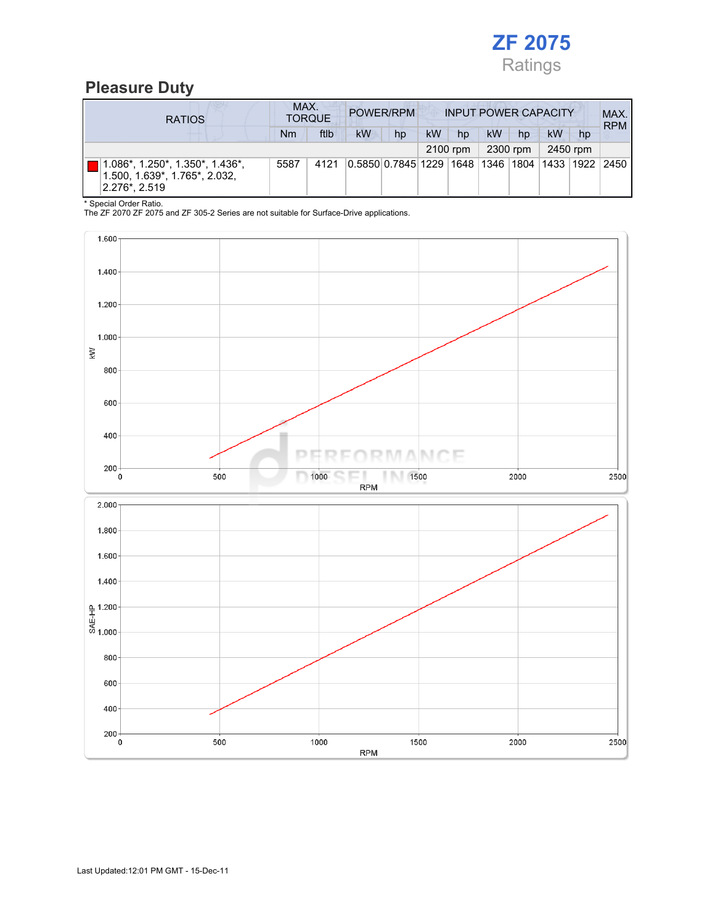

## Pleasure Duty

| <b>RATIOS</b>                                                                                             | MAX.     | <b>TORQUE</b> | POWER/RPM                                        |    | <b>INPUT POWER CAPACITY</b> |    |    |    |    |    | MAX.<br><b>RPM</b> |
|-----------------------------------------------------------------------------------------------------------|----------|---------------|--------------------------------------------------|----|-----------------------------|----|----|----|----|----|--------------------|
|                                                                                                           | Nm       | ftlb          | <b>kW</b>                                        | hp | <b>kW</b>                   | hp | kW | hp | kW | hp |                    |
|                                                                                                           | 2100 rpm |               | 2300 rpm                                         |    | 2450 rpm                    |    |    |    |    |    |                    |
| $ 1.086^*$ , 1.250 $^*$ , 1.350 $^*$ , 1.436 $^*$ ,<br>1.500, 1.639*, 1.765*, 2.032,<br>$2.276^*$ , 2.519 | 5587     | 4121          | 0.5850 0.7845 1229  1648  1346  1804  1433  1922 |    |                             |    |    |    |    |    | 2450               |

\* Special Order Ratio.

The ZF 2070 ZF 2075 and ZF 305-2 Series are not suitable for Surface-Drive applications.

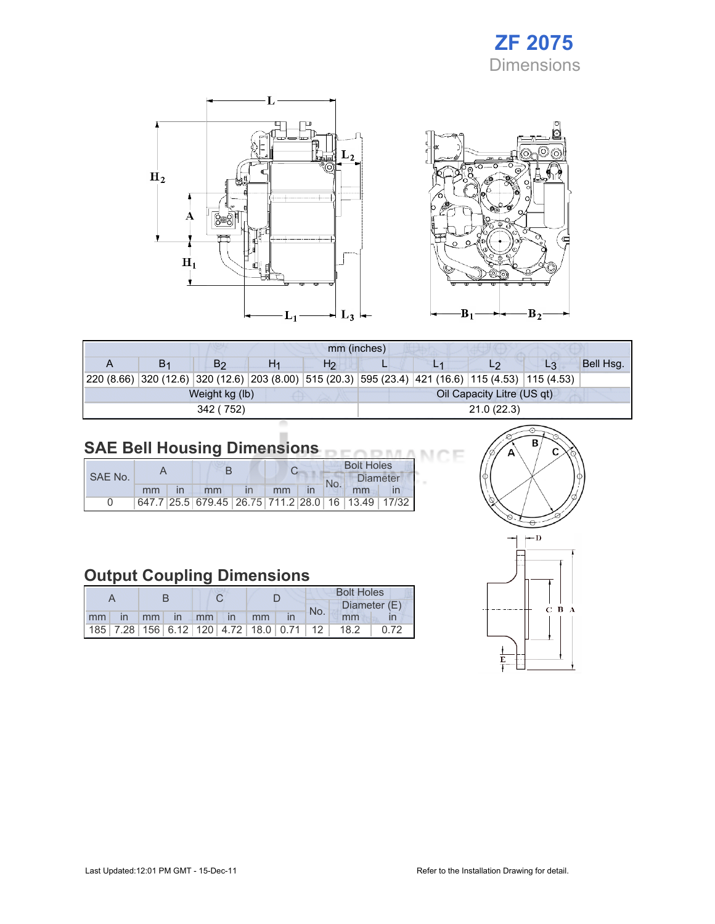# ZF 2075 **Dimensions**

Œ



| mm (inches) |    |                |    |                |                            |  |  |                                                                                                              |           |  |  |
|-------------|----|----------------|----|----------------|----------------------------|--|--|--------------------------------------------------------------------------------------------------------------|-----------|--|--|
|             | В1 | B <sub>2</sub> | H1 | H <sub>2</sub> |                            |  |  | L3                                                                                                           | Bell Hsq. |  |  |
|             |    |                |    |                |                            |  |  | 20 (8.66) 320 (12.6) 320 (12.6) 320 (12.6) 320 (8.00) 515 (20.3) 595 (23.4) 421 (16.6) 115 (4.53) 115 (4.53) |           |  |  |
|             |    | Weight kg (lb) |    |                | Oil Capacity Litre (US qt) |  |  |                                                                                                              |           |  |  |
|             |    | 342 (752)      |    |                | 21.0(22.3)                 |  |  |                                                                                                              |           |  |  |
|             |    |                |    |                |                            |  |  |                                                                                                              |           |  |  |

### SAE Bell Housing Dimensions

|         |    |  |                                                   |  |    |  | <b>Bolt Holes</b> |          |  |  |
|---------|----|--|---------------------------------------------------|--|----|--|-------------------|----------|--|--|
| SAE No. |    |  |                                                   |  |    |  |                   | Diameter |  |  |
|         | mm |  | mm                                                |  | mm |  | No.               | mm       |  |  |
|         |    |  | 647.7 25.5 679.45 26.75 711.2 28.0 16 13.49 17/32 |  |    |  |                   |          |  |  |

## Output Coupling Dimensions

|    |  |  |  |                                                         |    | <b>Bolt Holes</b> |     |              |      |
|----|--|--|--|---------------------------------------------------------|----|-------------------|-----|--------------|------|
|    |  |  |  |                                                         |    |                   | No. | Diameter (E) |      |
| mm |  |  |  | in mm in mm in                                          | mm |                   |     | mm           |      |
|    |  |  |  | 185   7.28   156   6.12   120   4.72   18.0   0.71   12 |    |                   |     | 18.2         | 0.72 |